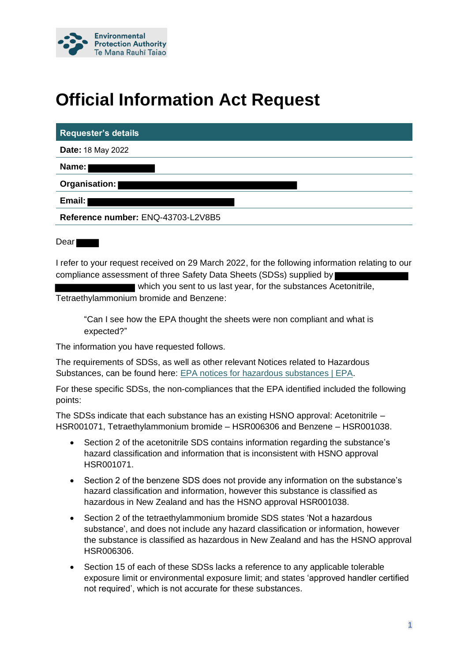

## **Official Information Act Request**

| <b>Requester's details</b>         |  |
|------------------------------------|--|
| <b>Date: 18 May 2022</b>           |  |
| Name:                              |  |
| Organisation:                      |  |
| Email:                             |  |
| Reference number: ENQ-43703-L2V8B5 |  |
|                                    |  |

Dear<sup>1</sup>

I refer to your request received on 29 March 2022, for the following information relating to our compliance assessment of three Safety Data Sheets (SDSs) supplied by

which you sent to us last year, for the substances Acetonitrile, Tetraethylammonium bromide and Benzene:

"Can I see how the EPA thought the sheets were non compliant and what is expected?"

The information you have requested follows.

The requirements of SDSs, as well as other relevant Notices related to Hazardous Substances, can be found here: [EPA notices for hazardous substances | EPA.](https://www.epa.govt.nz/industry-areas/hazardous-substances/rules-for-hazardous-substances/epa-notices-for-hazardous-substances/)

For these specific SDSs, the non-compliances that the EPA identified included the following points:

The SDSs indicate that each substance has an existing HSNO approval: Acetonitrile – HSR001071, Tetraethylammonium bromide – HSR006306 and Benzene – HSR001038.

- Section 2 of the acetonitrile SDS contains information regarding the substance's hazard classification and information that is inconsistent with HSNO approval HSR001071.
- Section 2 of the benzene SDS does not provide any information on the substance's hazard classification and information, however this substance is classified as hazardous in New Zealand and has the HSNO approval HSR001038.
- Section 2 of the tetraethylammonium bromide SDS states 'Not a hazardous substance', and does not include any hazard classification or information, however the substance is classified as hazardous in New Zealand and has the HSNO approval HSR006306.
- Section 15 of each of these SDSs lacks a reference to any applicable tolerable exposure limit or environmental exposure limit; and states 'approved handler certified not required', which is not accurate for these substances.